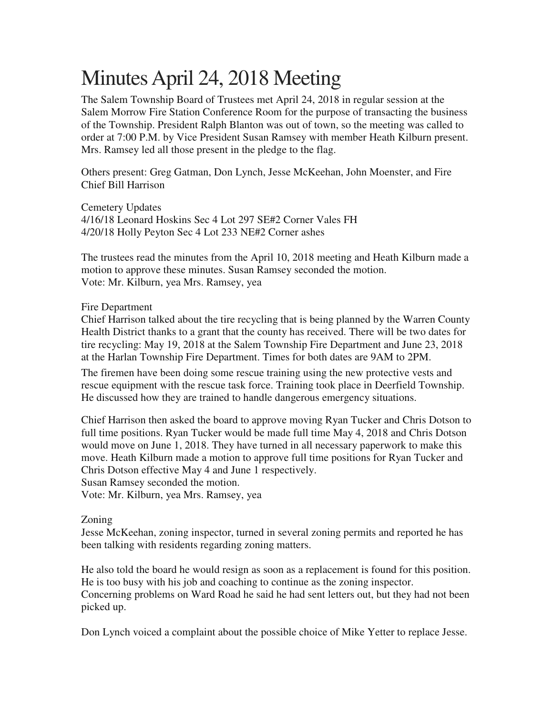## Minutes April 24, 2018 Meeting

The Salem Township Board of Trustees met April 24, 2018 in regular session at the Salem Morrow Fire Station Conference Room for the purpose of transacting the business of the Township. President Ralph Blanton was out of town, so the meeting was called to order at 7:00 P.M. by Vice President Susan Ramsey with member Heath Kilburn present. Mrs. Ramsey led all those present in the pledge to the flag.

Others present: Greg Gatman, Don Lynch, Jesse McKeehan, John Moenster, and Fire Chief Bill Harrison

Cemetery Updates 4/16/18 Leonard Hoskins Sec 4 Lot 297 SE#2 Corner Vales FH 4/20/18 Holly Peyton Sec 4 Lot 233 NE#2 Corner ashes

The trustees read the minutes from the April 10, 2018 meeting and Heath Kilburn made a motion to approve these minutes. Susan Ramsey seconded the motion. Vote: Mr. Kilburn, yea Mrs. Ramsey, yea

## Fire Department

Chief Harrison talked about the tire recycling that is being planned by the Warren County Health District thanks to a grant that the county has received. There will be two dates for tire recycling: May 19, 2018 at the Salem Township Fire Department and June 23, 2018 at the Harlan Township Fire Department. Times for both dates are 9AM to 2PM.

The firemen have been doing some rescue training using the new protective vests and rescue equipment with the rescue task force. Training took place in Deerfield Township. He discussed how they are trained to handle dangerous emergency situations.

Chief Harrison then asked the board to approve moving Ryan Tucker and Chris Dotson to full time positions. Ryan Tucker would be made full time May 4, 2018 and Chris Dotson would move on June 1, 2018. They have turned in all necessary paperwork to make this move. Heath Kilburn made a motion to approve full time positions for Ryan Tucker and Chris Dotson effective May 4 and June 1 respectively.

Susan Ramsey seconded the motion.

Vote: Mr. Kilburn, yea Mrs. Ramsey, yea

## Zoning

Jesse McKeehan, zoning inspector, turned in several zoning permits and reported he has been talking with residents regarding zoning matters.

He also told the board he would resign as soon as a replacement is found for this position. He is too busy with his job and coaching to continue as the zoning inspector. Concerning problems on Ward Road he said he had sent letters out, but they had not been picked up.

Don Lynch voiced a complaint about the possible choice of Mike Yetter to replace Jesse.